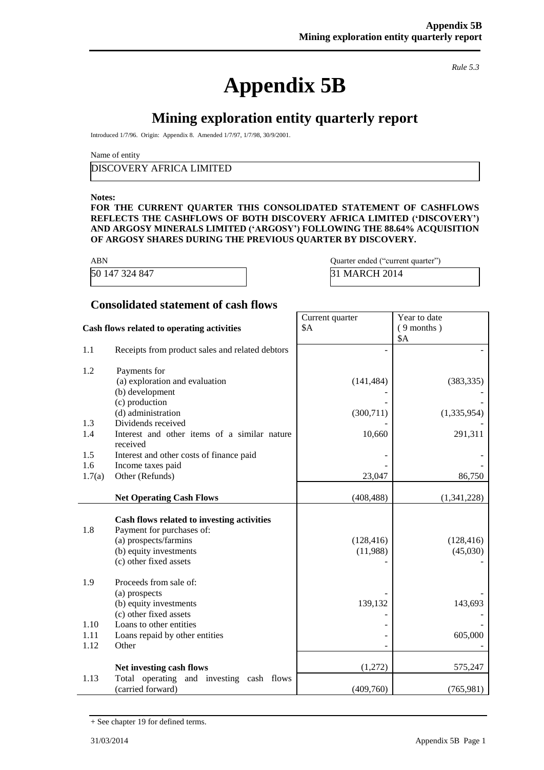*Rule 5.3*

# **Appendix 5B**

**Mining exploration entity quarterly report**

Introduced 1/7/96. Origin: Appendix 8. Amended 1/7/97, 1/7/98, 30/9/2001.

Name of entity

DISCOVERY AFRICA LIMITED

#### **Notes:**

**FOR THE CURRENT QUARTER THIS CONSOLIDATED STATEMENT OF CASHFLOWS REFLECTS THE CASHFLOWS OF BOTH DISCOVERY AFRICA LIMITED ('DISCOVERY') AND ARGOSY MINERALS LIMITED ('ARGOSY') FOLLOWING THE 88.64% ACQUISITION OF ARGOSY SHARES DURING THE PREVIOUS QUARTER BY DISCOVERY.**

Current quarter

\$A

| <b>ABN</b>     |  |
|----------------|--|
| 50 147 324 847 |  |

Quarter ended ("current quarter") 31 MARCH 2014

> Year to date ( 9 months )

#### **Consolidated statement of cash flows**

|  |  |  |  |  | Cash flows related to operating activities |
|--|--|--|--|--|--------------------------------------------|
|--|--|--|--|--|--------------------------------------------|

|        |                                                                         |            | \$A         |
|--------|-------------------------------------------------------------------------|------------|-------------|
| 1.1    | Receipts from product sales and related debtors                         |            |             |
| 1.2    | Payments for                                                            |            |             |
|        | (a) exploration and evaluation                                          | (141, 484) | (383, 335)  |
|        | (b) development                                                         |            |             |
|        | (c) production                                                          |            |             |
|        | (d) administration                                                      | (300, 711) | (1,335,954) |
| 1.3    | Dividends received                                                      |            |             |
| 1.4    | Interest and other items of a similar nature<br>received                | 10,660     | 291,311     |
| 1.5    | Interest and other costs of finance paid                                |            |             |
| 1.6    | Income taxes paid                                                       |            |             |
| 1.7(a) | Other (Refunds)                                                         | 23,047     | 86,750      |
|        |                                                                         |            |             |
|        | <b>Net Operating Cash Flows</b>                                         | (408, 488) | (1,341,228) |
|        |                                                                         |            |             |
| 1.8    | Cash flows related to investing activities<br>Payment for purchases of: |            |             |
|        | (a) prospects/farmins                                                   | (128, 416) | (128, 416)  |
|        | (b) equity investments                                                  | (11,988)   | (45,030)    |
|        | (c) other fixed assets                                                  |            |             |
|        |                                                                         |            |             |
| 1.9    | Proceeds from sale of:                                                  |            |             |
|        | (a) prospects                                                           |            |             |
|        | (b) equity investments                                                  | 139,132    | 143,693     |
|        | (c) other fixed assets                                                  |            |             |
| 1.10   | Loans to other entities                                                 |            |             |
| 1.11   | Loans repaid by other entities                                          |            | 605,000     |
| 1.12   | Other                                                                   |            |             |
|        | Net investing cash flows                                                | (1,272)    | 575,247     |
| 1.13   | Total operating and investing cash flows                                |            |             |
|        | (carried forward)                                                       | (409,760)  | (765,981)   |

<sup>+</sup> See chapter 19 for defined terms.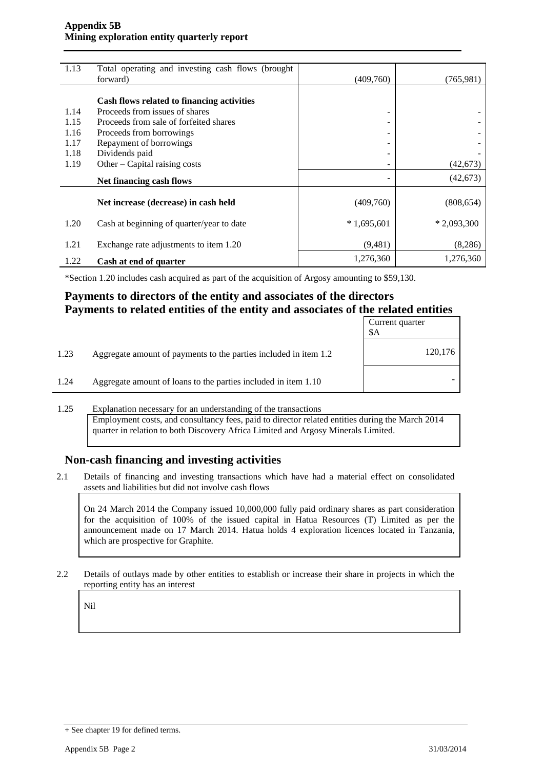#### **Appendix 5B Mining exploration entity quarterly report**

| 1.13 | Total operating and investing cash flows (brought |              |              |
|------|---------------------------------------------------|--------------|--------------|
|      | forward)                                          | (409,760)    | (765,981)    |
|      |                                                   |              |              |
|      | Cash flows related to financing activities        |              |              |
| 1.14 | Proceeds from issues of shares                    |              |              |
| 1.15 | Proceeds from sale of forfeited shares            |              |              |
| 1.16 | Proceeds from borrowings                          |              |              |
| 1.17 | Repayment of borrowings                           |              |              |
| 1.18 | Dividends paid                                    |              |              |
| 1.19 | Other $-$ Capital raising costs                   |              | (42, 673)    |
|      | Net financing cash flows                          |              | (42, 673)    |
|      |                                                   |              |              |
|      | Net increase (decrease) in cash held              | (409,760)    | (808, 654)   |
|      |                                                   |              |              |
| 1.20 | Cash at beginning of quarter/year to date         | $*1,695,601$ | $*2,093,300$ |
| 1.21 | Exchange rate adjustments to item 1.20            | (9,481)      | (8, 286)     |
|      |                                                   |              |              |
| 1.22 | Cash at end of quarter                            | 1,276,360    | 1,276,360    |

\*Section 1.20 includes cash acquired as part of the acquisition of Argosy amounting to \$59,130.

## **Payments to directors of the entity and associates of the directors Payments to related entities of the entity and associates of the related entities**

|      |                                                                  | Current quarter<br>\$A |
|------|------------------------------------------------------------------|------------------------|
| 1.23 | Aggregate amount of payments to the parties included in item 1.2 | 120,176                |
| 1.24 | Aggregate amount of loans to the parties included in item 1.10   |                        |

#### 1.25 Explanation necessary for an understanding of the transactions

Employment costs, and consultancy fees, paid to director related entities during the March 2014 quarter in relation to both Discovery Africa Limited and Argosy Minerals Limited.

### **Non-cash financing and investing activities**

2.1 Details of financing and investing transactions which have had a material effect on consolidated assets and liabilities but did not involve cash flows

On 24 March 2014 the Company issued 10,000,000 fully paid ordinary shares as part consideration for the acquisition of 100% of the issued capital in Hatua Resources (T) Limited as per the announcement made on 17 March 2014. Hatua holds 4 exploration licences located in Tanzania, which are prospective for Graphite.

2.2 Details of outlays made by other entities to establish or increase their share in projects in which the reporting entity has an interest

Nil

<sup>+</sup> See chapter 19 for defined terms.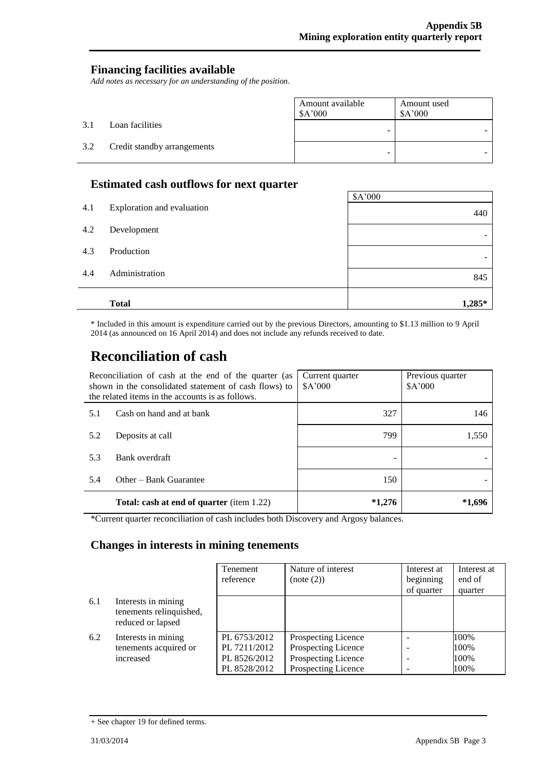## **Financing facilities available**

*Add notes as necessary for an understanding of the position.*

|     |                             | Amount available<br>\$A'000 | Amount used<br>\$A'000 |
|-----|-----------------------------|-----------------------------|------------------------|
| 3.1 | Loan facilities             |                             |                        |
| 3.2 | Credit standby arrangements | -                           |                        |

## **Estimated cash outflows for next quarter**

|     | <b>Total</b>               | 1,285*  |
|-----|----------------------------|---------|
| 4.4 | Administration             | 845     |
| 4.3 | Production                 |         |
| 4.2 | Development                |         |
| 4.1 | Exploration and evaluation | 440     |
|     |                            | \$A'000 |

\* Included in this amount is expenditure carried out by the previous Directors, amounting to \$1.13 million to 9 April 2014 (as announced on 16 April 2014) and does not include any refunds received to date.

# **Reconciliation of cash**

| Reconciliation of cash at the end of the quarter (as<br>shown in the consolidated statement of cash flows) to<br>the related items in the accounts is as follows. |                                           | Current quarter<br>\$A'000 | Previous quarter<br>\$A'000 |
|-------------------------------------------------------------------------------------------------------------------------------------------------------------------|-------------------------------------------|----------------------------|-----------------------------|
| 5.1                                                                                                                                                               | Cash on hand and at bank                  | 327                        | 146                         |
| 5.2                                                                                                                                                               | Deposits at call                          | 799                        | 1,550                       |
| 5.3                                                                                                                                                               | Bank overdraft                            |                            |                             |
| 5.4                                                                                                                                                               | Other – Bank Guarantee                    | 150                        |                             |
|                                                                                                                                                                   | Total: cash at end of quarter (item 1.22) | $*1,276$                   | *1,696                      |

\*Current quarter reconciliation of cash includes both Discovery and Argosy balances.

### **Changes in interests in mining tenements**

|     |                                                                     | Tenement                                                     | Nature of interest                                                                       | Interest at | Interest at                  |
|-----|---------------------------------------------------------------------|--------------------------------------------------------------|------------------------------------------------------------------------------------------|-------------|------------------------------|
|     |                                                                     | reference                                                    | (note (2))                                                                               | beginning   | end of                       |
|     |                                                                     |                                                              |                                                                                          | of quarter  | quarter                      |
| 6.1 | Interests in mining<br>tenements relinquished,<br>reduced or lapsed |                                                              |                                                                                          |             |                              |
| 6.2 | Interests in mining<br>tenements acquired or<br>increased           | PL 6753/2012<br>PL 7211/2012<br>PL 8526/2012<br>PL 8528/2012 | Prospecting Licence<br>Prospecting Licence<br>Prospecting Licence<br>Prospecting Licence |             | 100%<br>100%<br>100%<br>100% |

<sup>+</sup> See chapter 19 for defined terms.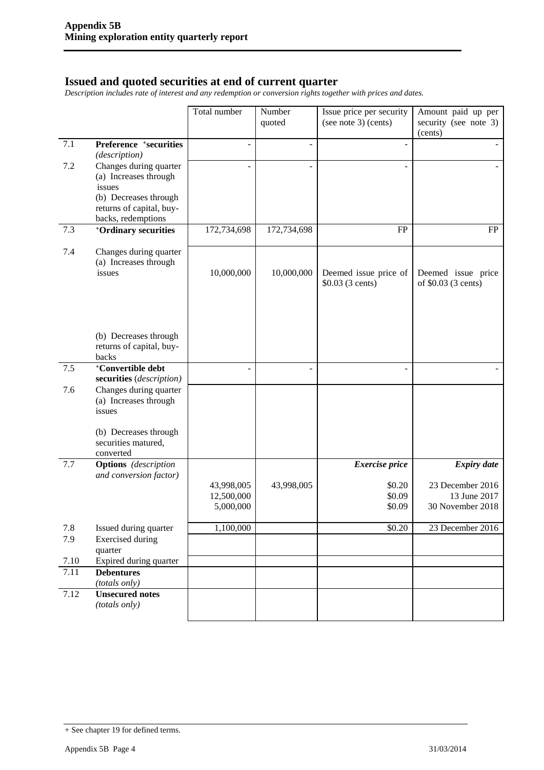#### **Issued and quoted securities at end of current quarter**

*Description includes rate of interest and any redemption or conversion rights together with prices and dates.*

|                           |                                                                                                                                      | Total number                          | Number<br>quoted         | Issue price per security<br>(see note 3) (cents) | Amount paid up per<br>security (see note 3)<br>(cents) |
|---------------------------|--------------------------------------------------------------------------------------------------------------------------------------|---------------------------------------|--------------------------|--------------------------------------------------|--------------------------------------------------------|
| 7.1                       | Preference +securities<br>(description)                                                                                              | ÷,                                    | $\overline{a}$           |                                                  |                                                        |
| 7.2                       | Changes during quarter<br>(a) Increases through<br>issues<br>(b) Decreases through<br>returns of capital, buy-<br>backs, redemptions |                                       |                          | ÷,                                               |                                                        |
| 7.3                       | <sup>+</sup> Ordinary securities                                                                                                     | 172,734,698                           | 172,734,698              | FP                                               | <b>FP</b>                                              |
| 7.4                       | Changes during quarter<br>(a) Increases through<br>issues                                                                            | 10,000,000                            | 10,000,000               | Deemed issue price of<br>\$0.03 (3 cents)        | Deemed issue price<br>of \$0.03 (3 cents)              |
|                           | (b) Decreases through<br>returns of capital, buy-<br>backs                                                                           |                                       |                          |                                                  |                                                        |
| 7.5                       | <sup>+</sup> Convertible debt<br>securities (description)                                                                            |                                       | $\overline{\phantom{0}}$ | ÷                                                |                                                        |
| 7.6                       | Changes during quarter<br>(a) Increases through<br>issues                                                                            |                                       |                          |                                                  |                                                        |
|                           | (b) Decreases through<br>securities matured,<br>converted                                                                            |                                       |                          |                                                  |                                                        |
| 7.7                       | <b>Options</b> (description<br>and conversion factor)                                                                                |                                       |                          | <b>Exercise</b> price                            | <b>Expiry date</b>                                     |
|                           |                                                                                                                                      | 43,998,005<br>12,500,000<br>5,000,000 | 43,998,005               | \$0.20<br>\$0.09<br>\$0.09                       | 23 December 2016<br>13 June 2017<br>30 November 2018   |
| 7.8                       | Issued during quarter                                                                                                                | 1,100,000                             |                          | \$0.20                                           | 23 December 2016                                       |
| 7.9                       | <b>Exercised</b> during<br>quarter                                                                                                   |                                       |                          |                                                  |                                                        |
| 7.10<br>$\overline{7.11}$ | Expired during quarter<br><b>Debentures</b>                                                                                          |                                       |                          |                                                  |                                                        |
|                           | (totals only)                                                                                                                        |                                       |                          |                                                  |                                                        |
| 7.12                      | <b>Unsecured notes</b><br>(totals only)                                                                                              |                                       |                          |                                                  |                                                        |

<sup>+</sup> See chapter 19 for defined terms.